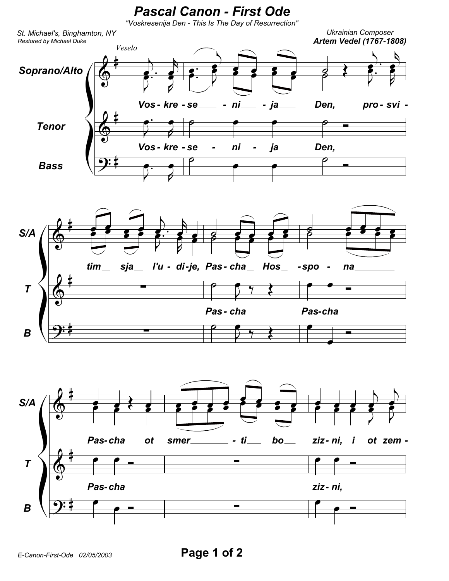